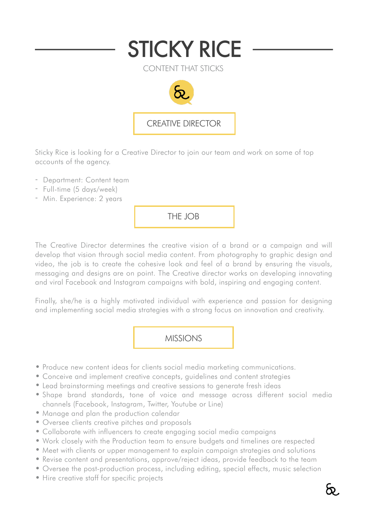

Sticky Rice is looking for a Creative Director to join our team and work on some of top accounts of the agency.

- Department: Content team
- Full-time (5 days/week)
- Min. Experience: 2 years

THE JOB

The Creative Director determines the creative vision of a brand or a campaign and will develop that vision through social media content. From photography to graphic design and video, the job is to create the cohesive look and feel of a brand by ensuring the visuals, messaging and designs are on point. The Creative director works on developing innovating and viral Facebook and Instagram campaigns with bold, inspiring and engaging content.

Finally, she/he is a highly motivated individual with experience and passion for designing and implementing social media strategies with a strong focus on innovation and creativity.

MISSIONS

- Produce new content ideas for clients social media marketing communications.
- Conceive and implement creative concepts, guidelines and content strategies
- Lead brainstorming meetings and creative sessions to generate fresh ideas
- Shape brand standards, tone of voice and message across different social media channels (Facebook, Instagram, Twitter, Youtube or Line)
- Manage and plan the production calendar
- Oversee clients creative pitches and proposals
- Collaborate with influencers to create engaging social media campaigns
- Work closely with the Production team to ensure budgets and timelines are respected
- Meet with clients or upper management to explain campaign strategies and solutions
- Revise content and presentations, approve/reject ideas, provide feedback to the team
- Oversee the post-production process, including editing, special effects, music selection
- Hire creative staff for specific projects